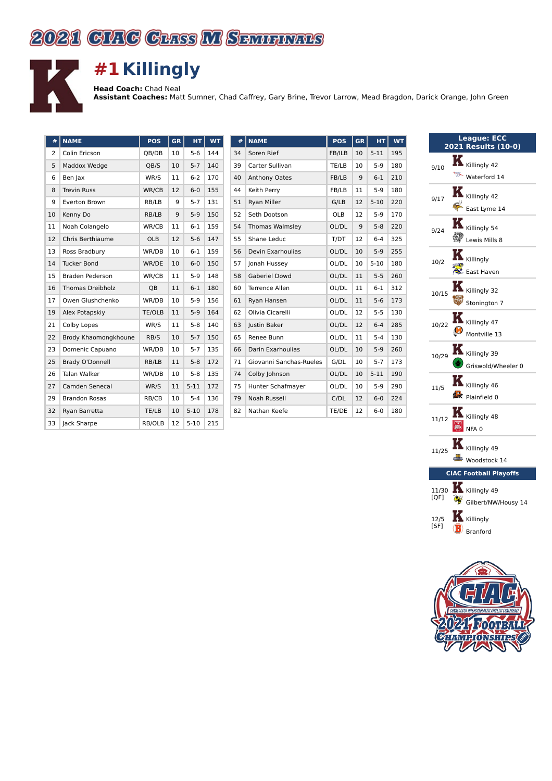## 2021 CIRG CHIS M SEMINIRS



## **#1 Killingly**

**Head Coach:** Chad Neal **Assistant Coaches:** Matt Sumner, Chad Caffrey, Gary Brine, Trevor Larrow, Mead Bragdon, Darick Orange, John Green

| #  | <b>NAME</b>             | <b>POS</b> | <b>GR</b> | HT.      | <b>WT</b> | #  | <b>NAME</b>             | <b>POS</b> | <b>GR</b>         | <b>HT</b> | <b>WT</b> |
|----|-------------------------|------------|-----------|----------|-----------|----|-------------------------|------------|-------------------|-----------|-----------|
| 2  | Colin Ericson           | OB/DB      | 10        | $5-6$    | 144       | 34 | Soren Rief              | FB/ILB     | 10                | $5 - 11$  | 195       |
| 5  | Maddox Wedge            | QB/S       | 10        | $5 - 7$  | 140       | 39 | Carter Sullivan         | TE/LB      | 10                | $5-9$     | 180       |
| 6  | Ben Jax                 | WR/S       | 11        | $6 - 2$  | 170       | 40 | <b>Anthony Oates</b>    | FB/LB      | 9                 | $6 - 1$   | 210       |
| 8  | <b>Trevin Russ</b>      | WR/CB      | 12        | $6-0$    | 155       | 44 | Keith Perry             | FB/LB      | 11                | $5-9$     | 180       |
| 9  | Everton Brown           | RB/LB      | 9         | $5 - 7$  | 131       | 51 | <b>Ryan Miller</b>      | G/LB       | 12                | $5 - 10$  | 220       |
| 10 | Kenny Do                | RB/LB      | 9         | $5-9$    | 150       | 52 | Seth Dootson            | <b>OLB</b> | $12 \overline{ }$ | $5-9$     | 170       |
| 11 | Noah Colangelo          | WR/CB      | 11        | $6-1$    | 159       | 54 | Thomas Walmsley         | OL/DL      | 9                 | $5 - 8$   | 220       |
| 12 | <b>Chris Berthiaume</b> | <b>OLB</b> | 12        | $5-6$    | 147       | 55 | Shane Leduc             | T/DT       | $12 \overline{ }$ | $6 - 4$   | 325       |
| 13 | Ross Bradbury           | WR/DB      | 10        | $6-1$    | 159       | 56 | Devin Exarhoulias       | OL/DL      | 10                | $5-9$     | 255       |
| 14 | <b>Tucker Bond</b>      | WR/DE      | 10        | $6-0$    | 150       | 57 | Jonah Hussey            | OL/DL      | 10                | $5 - 10$  | 180       |
| 15 | Braden Pederson         | WR/CB      | 11        | $5-9$    | 148       | 58 | <b>Gaberiel Dowd</b>    | OL/DL      | 11                | $5 - 5$   | 260       |
| 16 | <b>Thomas Dreibholz</b> | QB         | 11        | $6-1$    | 180       | 60 | Terrence Allen          | OL/DL      | 11                | $6 - 1$   | 312       |
| 17 | Owen Glushchenko        | WR/DB      | 10        | $5-9$    | 156       | 61 | Ryan Hansen             | OL/DL      | 11                | $5-6$     | 173       |
| 19 | Alex Potapskiy          | TE/OLB     | 11        | $5-9$    | 164       | 62 | Olivia Cicarelli        | OL/DL      | 12                | $5-5$     | 130       |
| 21 | Colby Lopes             | WR/S       | 11        | $5 - 8$  | 140       | 63 | <b>Iustin Baker</b>     | OL/DL      | 12                | $6 - 4$   | 285       |
| 22 | Brody Khaomongkhoune    | RB/S       | 10        | $5 - 7$  | 150       | 65 | Renee Bunn              | OL/DL      | 11                | $5 - 4$   | 130       |
| 23 | Domenic Capuano         | WR/DB      | 10        | $5 - 7$  | 135       | 66 | Darin Exarhoulias       | OL/DL      | 10                | $5-9$     | 260       |
| 25 | Brady O'Donnell         | RB/LB      | 11        | $5 - 8$  | 172       | 71 | Giovanni Sanchas-Rueles | G/DL       | 10                | $5 - 7$   | 173       |
| 26 | <b>Talan Walker</b>     | WR/DB      | 10        | $5 - 8$  | 135       | 74 | Colby Johnson           | OL/DL      | 10                | $5 - 11$  | 190       |
| 27 | Camden Senecal          | WR/S       | 11        | $5 - 11$ | 172       | 75 | Hunter Schafmayer       | OL/DL      | 10                | $5-9$     | 290       |
| 29 | <b>Brandon Rosas</b>    | RB/CB      | 10        | $5 - 4$  | 136       | 79 | <b>Noah Russell</b>     | C/DL       | 12                | $6-0$     | 224       |
| 32 | Rvan Barretta           | TE/LB      | 10        | $5 - 10$ | 178       | 82 | Nathan Keefe            | TE/DE      | 12                | $6-0$     | 180       |
| 33 | Jack Sharpe             | RB/OLB     | 12        | $5 - 10$ | 215       |    |                         |            |                   |           |           |